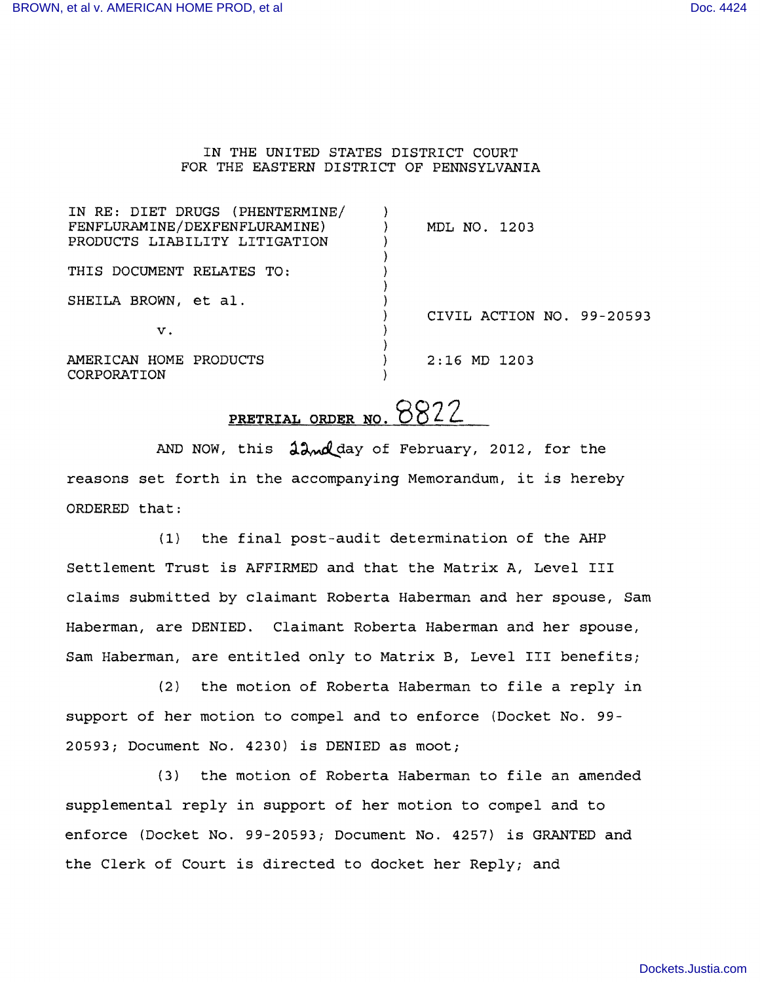## IN THE UNITED STATES DISTRICT COURT FOR THE EASTERN DISTRICT OF PENNSYLVANIA

| IN RE: DIET DRUGS (PHENTERMINE/<br>FENFLURAMINE/DEXFENFLURAMINE)<br>PRODUCTS LIABILITY LITIGATION | MDL NO. 1203              |
|---------------------------------------------------------------------------------------------------|---------------------------|
| THIS DOCUMENT RELATES TO:                                                                         |                           |
| SHEILA BROWN, et al.                                                                              | CIVIL ACTION NO. 99-20593 |
| v.                                                                                                |                           |
| AMERICAN HOME PRODUCTS<br>CORPORATION                                                             | $2:16$ MD 1203            |

## **PRETRIAL ORDER NO. 8822**

AND NOW, this  $\lambda \sim d$  day of February, 2012, for the reasons set forth in the accompanying Memorandum, it is hereby ORDERED that:

(1) the final post-audit determination of the AHP Settlement Trust is AFFIRMED and that the Matrix A, Level III claims submitted by claimant Roberta Haberman and her spouse, Sam Haberman, are DENIED. Claimant Roberta Haberman and her spouse, Sam Haberman, are entitled only to Matrix B, Level III benefits;

(2) the motion of Roberta Haberman to file <sup>a</sup> reply in support of her motion to compel and to enforce (Docket No. 99- 20593; Document No. 4230) is DENIED as moot;

(3) the motion of Roberta Haberman to file an amended supplemental reply in support of her motion to compel and to enforce (Docket No. 99-20593; Document No. 4257) is GRANTED and the Clerk of Court is directed to docket her Reply; and